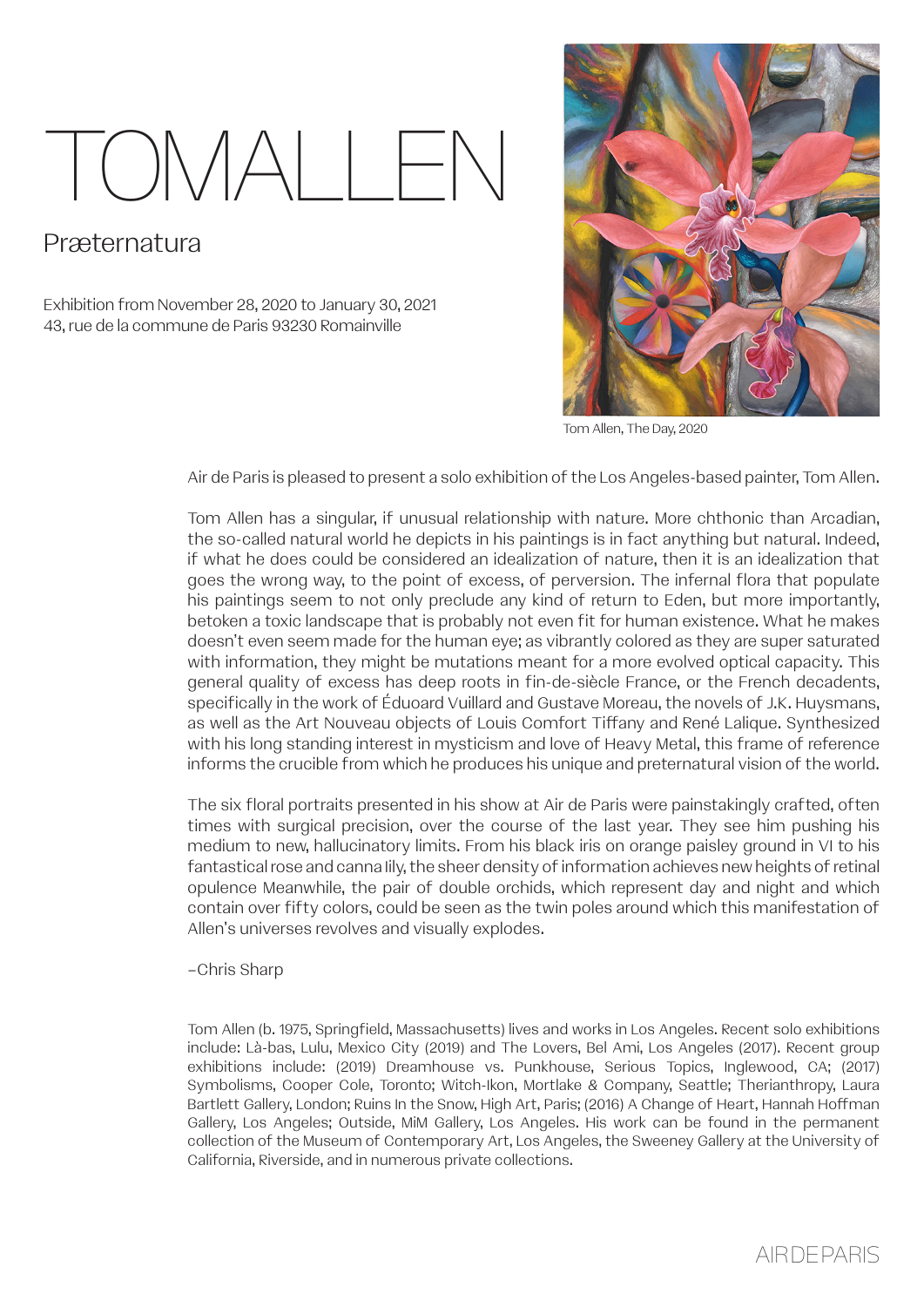## TOMALLE

## Præternatura

Exhibition from November 28, 2020 to January 30, 2021 43, rue de la commune de Paris 93230 Romainville



Tom Allen, The Day, 2020

Air de Paris is pleased to present a solo exhibition of the Los Angeles-based painter, Tom Allen.

Tom Allen has a singular, if unusual relationship with nature. More chthonic than Arcadian, the so-called natural world he depicts in his paintings is in fact anything but natural. Indeed, if what he does could be considered an idealization of nature, then it is an idealization that goes the wrong way, to the point of excess, of perversion. The infernal flora that populate his paintings seem to not only preclude any kind of return to Eden, but more importantly, betoken a toxic landscape that is probably not even fit for human existence. What he makes doesn't even seem made for the human eye; as vibrantly colored as they are super saturated with information, they might be mutations meant for a more evolved optical capacity. This general quality of excess has deep roots in fin-de-siècle France, or the French decadents, specifically in the work of Éduoard Vuillard and Gustave Moreau, the novels of J.K. Huysmans, as well as the Art Nouveau objects of Louis Comfort Tiffany and René Lalique. Synthesized with his long standing interest in mysticism and love of Heavy Metal, this frame of reference informs the crucible from which he produces his unique and preternatural vision of the world.

The six floral portraits presented in his show at Air de Paris were painstakingly crafted, often times with surgical precision, over the course of the last year. They see him pushing his medium to new, hallucinatory limits. From his black iris on orange paisley ground in VI to his fantastical rose and canna Iily, the sheer density of information achieves new heights of retinal opulence Meanwhile, the pair of double orchids, which represent day and night and which contain over fifty colors, could be seen as the twin poles around which this manifestation of Allen's universes revolves and visually explodes.

–Chris Sharp

Tom Allen (b. 1975, Springfield, Massachusetts) lives and works in Los Angeles. Recent solo exhibitions include: Là-bas, Lulu, Mexico City (2019) and The Lovers, Bel Ami, Los Angeles (2017). Recent group exhibitions include: (2019) Dreamhouse vs. Punkhouse, Serious Topics, Inglewood, CA; (2017) Symbolisms, Cooper Cole, Toronto; Witch-Ikon, Mortlake & Company, Seattle; Therianthropy, Laura Bartlett Gallery, London; Ruins In the Snow, High Art, Paris; (2016) A Change of Heart, Hannah Hoffman Gallery, Los Angeles; Outside, MiM Gallery, Los Angeles. His work can be found in the permanent collection of the Museum of Contemporary Art, Los Angeles, the Sweeney Gallery at the University of California, Riverside, and in numerous private collections.